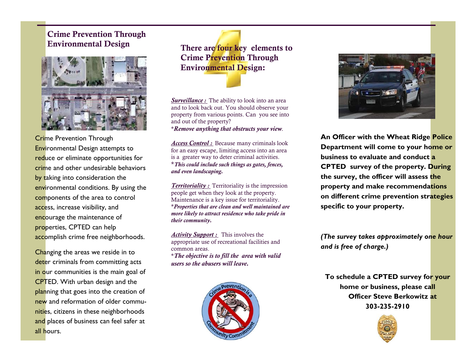## Crime Prevention Through Environmental Design



Crime Prevention Through Environmental Design attempts to reduce or eliminate opportunities for crime and other undesirable behaviors by taking into consideration the environmental conditions. By using the components of the area to control access, increase visibility, and encourage the maintenance of properties, CPTED can help accomplish crime free neighborhoods.

Changing the areas we reside in to deter criminals from committing acts in our communities is the main goal of CPTED. With urban design and the planning that goes into the creation of new and reformation of older communities, citizens in these neighborhoods and places of business can feel safer at all hours.

There are four key elements to Crime Prevention Through Environmental Design:

**Surveillance**: The ability to look into an area and to look back out. You should observe your property from various points. Can you see into and out of the property?

\**Remove anything that obstructs your view.*

*Access Control :* Because many criminals look for an easy escape, limiting access into an area is a greater way to deter criminal activities. \**This could include such things as gates, fences, and even landscaping.* 

*Territoriality :* Territoriality is the impression people get when they look at the property. Maintenance is a key issue for territoriality. \**Properties that are clean and well maintained are more likely to attract residence who take pride in their community.*

*Activity Support :* This involves the appropriate use of recreational facilities and common areas.

\**The objective is to fill the area with valid users so the abusers will leave.*





**An Officer with the Wheat Ridge Police Department will come to your home or business to evaluate and conduct a CPTED survey of the property. During the survey, the officer will assess the property and make recommendations on different crime prevention strategies specific to your property.** 

*(The survey takes approximately one hour and is free of charge.)* 

**To schedule a CPTED survey for your home or business, please call Officer Steve Berkowitz at 303-235-2910**